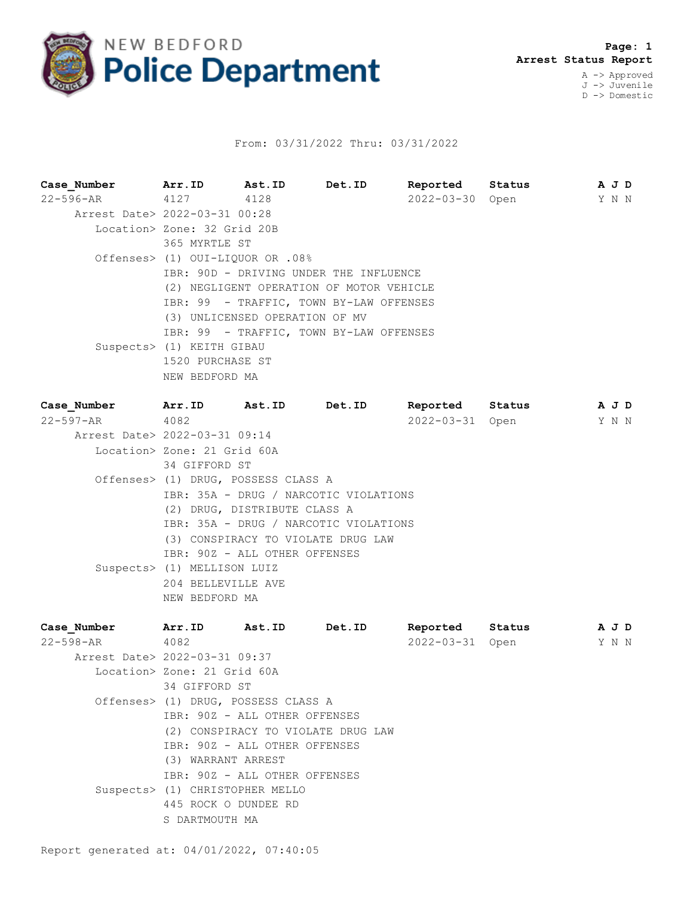

## From: 03/31/2022 Thru: 03/31/2022

**Case\_Number Arr.ID Ast.ID Det.ID Reported Status A J D** 22-596-AR 4127 4128 2022-03-30 Open Y N N Arrest Date> 2022-03-31 00:28 Location> Zone: 32 Grid 20B 365 MYRTLE ST Offenses> (1) OUI-LIQUOR OR .08% IBR: 90D - DRIVING UNDER THE INFLUENCE (2) NEGLIGENT OPERATION OF MOTOR VEHICLE IBR: 99 - TRAFFIC, TOWN BY-LAW OFFENSES (3) UNLICENSED OPERATION OF MV IBR: 99 - TRAFFIC, TOWN BY-LAW OFFENSES Suspects> (1) KEITH GIBAU 1520 PURCHASE ST NEW BEDFORD MA **Case\_Number Arr.ID Ast.ID Det.ID Reported Status A J D**

22-597-AR 4082 2022-03-31 Open Y N N Arrest Date> 2022-03-31 09:14 Location> Zone: 21 Grid 60A 34 GIFFORD ST Offenses> (1) DRUG, POSSESS CLASS A IBR: 35A - DRUG / NARCOTIC VIOLATIONS (2) DRUG, DISTRIBUTE CLASS A IBR: 35A - DRUG / NARCOTIC VIOLATIONS (3) CONSPIRACY TO VIOLATE DRUG LAW IBR: 90Z - ALL OTHER OFFENSES Suspects> (1) MELLISON LUIZ 204 BELLEVILLE AVE NEW BEDFORD MA

| Arr.ID | Det.ID                                                                                                                                                                                     | Reported                                                                                                                                                                     |                           |                |
|--------|--------------------------------------------------------------------------------------------------------------------------------------------------------------------------------------------|------------------------------------------------------------------------------------------------------------------------------------------------------------------------------|---------------------------|----------------|
| 4082   |                                                                                                                                                                                            |                                                                                                                                                                              |                           |                |
|        |                                                                                                                                                                                            |                                                                                                                                                                              |                           |                |
|        |                                                                                                                                                                                            |                                                                                                                                                                              |                           |                |
|        |                                                                                                                                                                                            |                                                                                                                                                                              |                           |                |
|        |                                                                                                                                                                                            |                                                                                                                                                                              |                           |                |
|        |                                                                                                                                                                                            |                                                                                                                                                                              |                           |                |
|        |                                                                                                                                                                                            |                                                                                                                                                                              |                           |                |
|        |                                                                                                                                                                                            |                                                                                                                                                                              |                           |                |
|        |                                                                                                                                                                                            |                                                                                                                                                                              |                           |                |
|        |                                                                                                                                                                                            |                                                                                                                                                                              |                           |                |
|        |                                                                                                                                                                                            |                                                                                                                                                                              |                           |                |
|        |                                                                                                                                                                                            |                                                                                                                                                                              |                           |                |
|        |                                                                                                                                                                                            |                                                                                                                                                                              |                           |                |
|        | Ast.ID<br>Arrest Date> 2022-03-31 09:37<br>Location> Zone: 21 Grid 60A<br>34 GIFFORD ST<br>(3) WARRANT ARREST<br>Suspects> (1) CHRISTOPHER MELLO<br>445 ROCK O DUNDEE RD<br>S DARTMOUTH MA | Offenses> (1) DRUG, POSSESS CLASS A<br>IBR: 90Z - ALL OTHER OFFENSES<br>(2) CONSPIRACY TO VIOLATE DRUG LAW<br>IBR: 90Z - ALL OTHER OFFENSES<br>IBR: 90Z - ALL OTHER OFFENSES | Status<br>2022-03-31 Open | A J D<br>Y N N |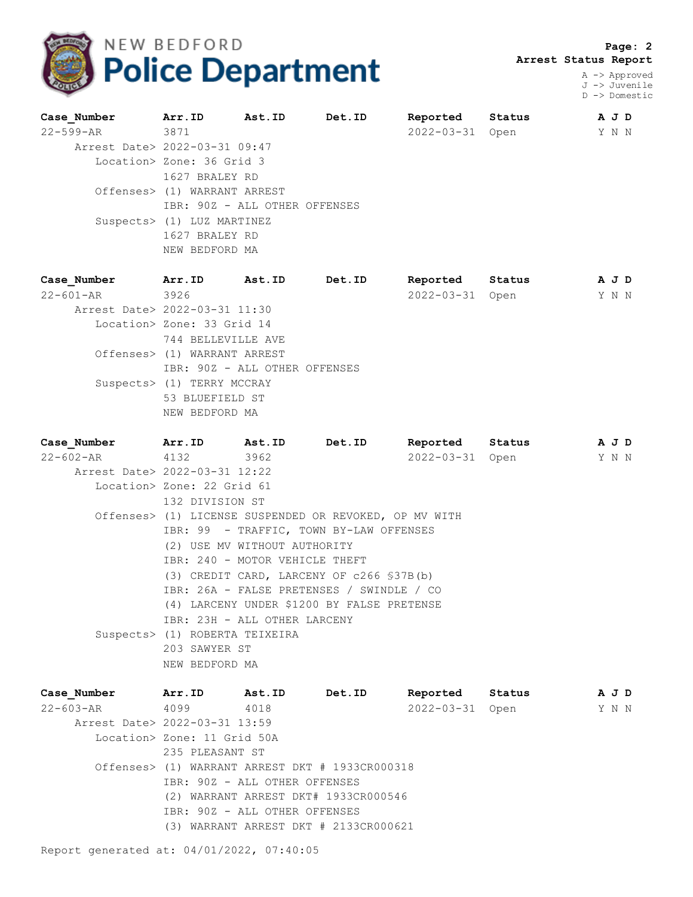

 **Page: 2 Arrest Status Report**

> A -> Approved J -> Juvenile D -> Domestic

| Case Number                   | Arr.ID                        | Ast.ID | Det.ID | Reported        | Status | A J D |  |
|-------------------------------|-------------------------------|--------|--------|-----------------|--------|-------|--|
| 22-599-AR 3871                |                               |        |        | 2022-03-31 Open |        | Y N N |  |
| Arrest Date> 2022-03-31 09:47 |                               |        |        |                 |        |       |  |
|                               | Location> Zone: 36 Grid 3     |        |        |                 |        |       |  |
|                               | 1627 BRALEY RD                |        |        |                 |        |       |  |
|                               | Offenses> (1) WARRANT ARREST  |        |        |                 |        |       |  |
|                               | IBR: 90Z - ALL OTHER OFFENSES |        |        |                 |        |       |  |
|                               | Suspects> (1) LUZ MARTINEZ    |        |        |                 |        |       |  |
|                               | 1627 BRALEY RD                |        |        |                 |        |       |  |
|                               | NEW BEDFORD MA                |        |        |                 |        |       |  |

| Case Number                   | Arr.ID          | Ast.ID                        | Det.ID | Reported         | Status | A J D |
|-------------------------------|-----------------|-------------------------------|--------|------------------|--------|-------|
| 22-601-AR                     | 3926            |                               |        | $2022 - 03 - 31$ | Open   | Y N N |
| Arrest Date> 2022-03-31 11:30 |                 |                               |        |                  |        |       |
| Location> Zone: 33 Grid 14    |                 |                               |        |                  |        |       |
|                               |                 | 744 BELLEVILLE AVE            |        |                  |        |       |
| Offenses> (1) WARRANT ARREST  |                 |                               |        |                  |        |       |
|                               |                 | IBR: 90Z - ALL OTHER OFFENSES |        |                  |        |       |
| Suspects> (1) TERRY MCCRAY    |                 |                               |        |                  |        |       |
|                               | 53 BLUEFIELD ST |                               |        |                  |        |       |
|                               | NEW BEDFORD MA  |                               |        |                  |        |       |
|                               |                 |                               |        |                  |        |       |

**Case\_Number Arr.ID Ast.ID Det.ID Reported Status A J D** 22-602-AR 4132 3962 2022-03-31 Open Y N N Arrest Date> 2022-03-31 12:22 Location> Zone: 22 Grid 61 132 DIVISION ST Offenses> (1) LICENSE SUSPENDED OR REVOKED, OP MV WITH IBR: 99 - TRAFFIC, TOWN BY-LAW OFFENSES (2) USE MV WITHOUT AUTHORITY IBR: 240 - MOTOR VEHICLE THEFT (3) CREDIT CARD, LARCENY OF c266 §37B(b) IBR: 26A - FALSE PRETENSES / SWINDLE / CO (4) LARCENY UNDER \$1200 BY FALSE PRETENSE IBR: 23H - ALL OTHER LARCENY Suspects> (1) ROBERTA TEIXEIRA 203 SAWYER ST NEW BEDFORD MA

| Case Number Arr. ID Ast. ID   |                             |                                       | Det.ID                                          | Reported Status |      | A J D |  |  |
|-------------------------------|-----------------------------|---------------------------------------|-------------------------------------------------|-----------------|------|-------|--|--|
| 22–603–AR 4099                |                             | 4018                                  |                                                 | 2022-03-31      | Open | Y N N |  |  |
| Arrest Date> 2022-03-31 13:59 |                             |                                       |                                                 |                 |      |       |  |  |
|                               | Location> Zone: 11 Grid 50A |                                       |                                                 |                 |      |       |  |  |
|                               | 235 PLEASANT ST             |                                       |                                                 |                 |      |       |  |  |
|                               |                             |                                       | Offenses> (1) WARRANT ARREST DKT # 1933CR000318 |                 |      |       |  |  |
|                               |                             | IBR: 90Z - ALL OTHER OFFENSES         |                                                 |                 |      |       |  |  |
|                               |                             |                                       | (2) WARRANT ARREST DKT# 1933CR000546            |                 |      |       |  |  |
|                               |                             | IBR: 90Z - ALL OTHER OFFENSES         |                                                 |                 |      |       |  |  |
|                               |                             | (3) WARRANT ARREST DKT # 2133CR000621 |                                                 |                 |      |       |  |  |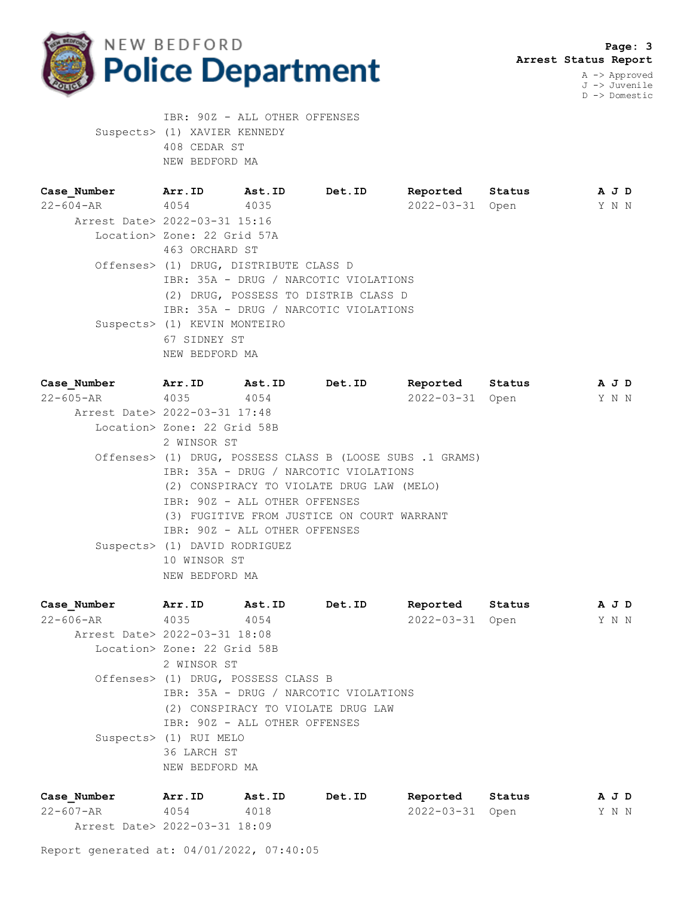

 IBR: 90Z - ALL OTHER OFFENSES Suspects> (1) XAVIER KENNEDY 408 CEDAR ST NEW BEDFORD MA

| Case Number                   | Arr.ID                                 | Ast.ID | Det.ID                                | Reported         | Status |  | A J D |
|-------------------------------|----------------------------------------|--------|---------------------------------------|------------------|--------|--|-------|
| $22 - 604 - AR$ 4054          |                                        | 4035   |                                       | $2022 - 03 - 31$ | Open   |  | Y N N |
| Arrest Date> 2022-03-31 15:16 |                                        |        |                                       |                  |        |  |       |
|                               | Location> Zone: 22 Grid 57A            |        |                                       |                  |        |  |       |
|                               | 463 ORCHARD ST                         |        |                                       |                  |        |  |       |
|                               | Offenses> (1) DRUG, DISTRIBUTE CLASS D |        |                                       |                  |        |  |       |
|                               |                                        |        | IBR: 35A - DRUG / NARCOTIC VIOLATIONS |                  |        |  |       |
|                               |                                        |        | (2) DRUG, POSSESS TO DISTRIB CLASS D  |                  |        |  |       |
|                               |                                        |        | IBR: 35A - DRUG / NARCOTIC VIOLATIONS |                  |        |  |       |
|                               | Suspects> (1) KEVIN MONTEIRO           |        |                                       |                  |        |  |       |
|                               | 67 SIDNEY ST                           |        |                                       |                  |        |  |       |
|                               | NEW BEDFORD MA                         |        |                                       |                  |        |  |       |

| Case Number                   | Arr.ID                        | <b>Ast.ID</b>                 | Det.ID                                                    | Reported        | Status | A J D |  |
|-------------------------------|-------------------------------|-------------------------------|-----------------------------------------------------------|-----------------|--------|-------|--|
| 22–605–AR 4035                |                               | 4054                          |                                                           | 2022-03-31 Open |        | Y N N |  |
| Arrest Date> 2022-03-31 17:48 |                               |                               |                                                           |                 |        |       |  |
|                               | Location> Zone: 22 Grid 58B   |                               |                                                           |                 |        |       |  |
|                               | 2 WINSOR ST                   |                               |                                                           |                 |        |       |  |
|                               |                               |                               | Offenses> (1) DRUG, POSSESS CLASS B (LOOSE SUBS .1 GRAMS) |                 |        |       |  |
|                               |                               |                               | IBR: 35A - DRUG / NARCOTIC VIOLATIONS                     |                 |        |       |  |
|                               |                               |                               | (2) CONSPIRACY TO VIOLATE DRUG LAW (MELO)                 |                 |        |       |  |
|                               |                               | IBR: 90Z - ALL OTHER OFFENSES |                                                           |                 |        |       |  |
|                               |                               |                               | (3) FUGITIVE FROM JUSTICE ON COURT WARRANT                |                 |        |       |  |
|                               |                               | IBR: 90Z - ALL OTHER OFFENSES |                                                           |                 |        |       |  |
|                               | Suspects> (1) DAVID RODRIGUEZ |                               |                                                           |                 |        |       |  |
|                               | 10 WINSOR ST                  |                               |                                                           |                 |        |       |  |
|                               | NEW BEDFORD MA                |                               |                                                           |                 |        |       |  |

| Case Number                   | Arr.ID         | Ast.ID                                | Det.ID | Reported         | Status | A J D |  |
|-------------------------------|----------------|---------------------------------------|--------|------------------|--------|-------|--|
| $22 - 606 - AR$               | 4035           | 4054                                  |        | $2022 - 03 - 31$ | Open   | Y N N |  |
| Arrest Date> 2022-03-31 18:08 |                |                                       |        |                  |        |       |  |
| Location> Zone: 22 Grid 58B   |                |                                       |        |                  |        |       |  |
|                               | 2 WINSOR ST    |                                       |        |                  |        |       |  |
|                               |                | Offenses> (1) DRUG, POSSESS CLASS B   |        |                  |        |       |  |
|                               |                | IBR: 35A - DRUG / NARCOTIC VIOLATIONS |        |                  |        |       |  |
|                               |                | (2) CONSPIRACY TO VIOLATE DRUG LAW    |        |                  |        |       |  |
|                               |                | IBR: 90Z - ALL OTHER OFFENSES         |        |                  |        |       |  |
| Suspects> (1) RUI MELO        |                |                                       |        |                  |        |       |  |
|                               | 36 LARCH ST    |                                       |        |                  |        |       |  |
|                               | NEW BEDFORD MA |                                       |        |                  |        |       |  |
|                               |                |                                       |        |                  |        |       |  |

| Case Number                   | Arr.ID | Ast.ID | Det.ID | Reported        | Status |  | AJD   |
|-------------------------------|--------|--------|--------|-----------------|--------|--|-------|
| 22-607-AR                     | 4054   | 4018   |        | 2022-03-31 Open |        |  | Y N N |
| Arrest Date> 2022-03-31 18:09 |        |        |        |                 |        |  |       |